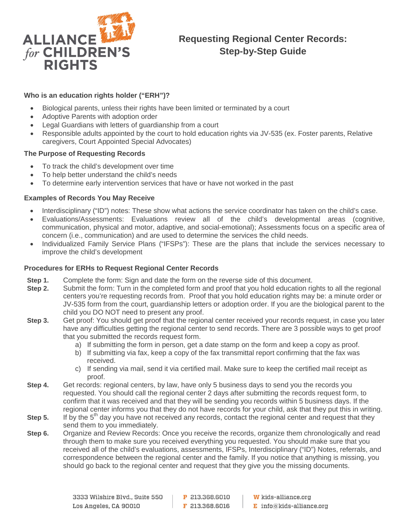

## **Who is an education rights holder ("ERH")?**

- Biological parents, unless their rights have been limited or terminated by a court
- Adoptive Parents with adoption order
- Legal Guardians with letters of guardianship from a court
- Responsible adults appointed by the court to hold education rights via JV-535 (ex. Foster parents, Relative caregivers, Court Appointed Special Advocates)

## **The Purpose of Requesting Records**

- To track the child's development over time
- To help better understand the child's needs
- To determine early intervention services that have or have not worked in the past

## **Examples of Records You May Receive**

- Interdisciplinary ("ID") notes: These show what actions the service coordinator has taken on the child's case.
- Evaluations/Assessments: Evaluations review all of the child's developmental areas (cognitive, communication, physical and motor, adaptive, and social-emotional); Assessments focus on a specific area of concern (i.e., communication) and are used to determine the services the child needs.
- Individualized Family Service Plans ("IFSPs"): These are the plans that include the services necessary to improve the child's development

## **Procedures for ERHs to Request Regional Center Records**

- **Step 1.** Complete the form: Sign and date the form on the reverse side of this document.
- **Step 2.** Submit the form: Turn in the completed form and proof that you hold education rights to all the regional centers you're requesting records from. Proof that you hold education rights may be: a minute order or JV-535 form from the court, guardianship letters or adoption order. If you are the biological parent to the child you DO NOT need to present any proof.
- **Step 3.** Get proof: You should get proof that the regional center received your records request, in case you later have any difficulties getting the regional center to send records. There are 3 possible ways to get proof that you submitted the records request form.
	- a) If submitting the form in person, get a date stamp on the form and keep a copy as proof.
	- b) If submitting via fax, keep a copy of the fax transmittal report confirming that the fax was received.
	- c) If sending via mail, send it via certified mail. Make sure to keep the certified mail receipt as proof.
- **Step 4.** Get records: regional centers, by law, have only 5 business days to send you the records you requested. You should call the regional center 2 days after submitting the records request form, to confirm that it was received and that they will be sending you records within 5 business days. If the regional center informs you that they do not have records for your child, ask that they put this in writing.
- **Step 5.** If by the 5<sup>th</sup> day you have not received any records, contact the regional center and request that they send them to you immediately.
- **Step 6.** Organize and Review Records: Once you receive the records, organize them chronologically and read through them to make sure you received everything you requested. You should make sure that you received all of the child's evaluations, assessments, IFSPs, Interdisciplinary ("ID") Notes, referrals, and correspondence between the regional center and the family. If you notice that anything is missing, you should go back to the regional center and request that they give you the missing documents.

 $E$  info@kids-alliance.org